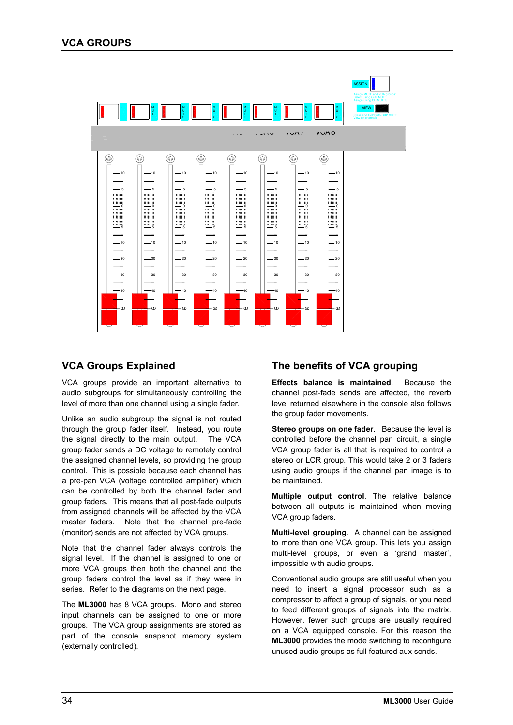

## **VCA Groups Explained**

VCA groups provide an important alternative to audio subgroups for simultaneously controlling the level of more than one channel using a single fader.

Unlike an audio subgroup the signal is not routed through the group fader itself. Instead, you route the signal directly to the main output. The VCA group fader sends a DC voltage to remotely control the assigned channel levels, so providing the group control. This is possible because each channel has a pre-pan VCA (voltage controlled amplifier) which can be controlled by both the channel fader and group faders. This means that all post-fade outputs from assigned channels will be affected by the VCA master faders. Note that the channel pre-fade (monitor) sends are not affected by VCA groups.

Note that the channel fader always controls the signal level. If the channel is assigned to one or more VCA groups then both the channel and the group faders control the level as if they were in series. Refer to the diagrams on the next page.

The **ML3000** has 8 VCA groups. Mono and stereo input channels can be assigned to one or more groups. The VCA group assignments are stored as part of the console snapshot memory system (externally controlled).

# **The benefits of VCA grouping**

**Effects balance is maintained**. Because the channel post-fade sends are affected, the reverb level returned elsewhere in the console also follows the group fader movements.

**Stereo groups on one fader**. Because the level is controlled before the channel pan circuit, a single VCA group fader is all that is required to control a stereo or LCR group. This would take 2 or 3 faders using audio groups if the channel pan image is to be maintained.

**Multiple output control**. The relative balance between all outputs is maintained when moving VCA group faders.

**Multi-level grouping**. A channel can be assigned to more than one VCA group. This lets you assign multi-level groups, or even a 'grand master', impossible with audio groups.

Conventional audio groups are still useful when you need to insert a signal processor such as a compressor to affect a group of signals, or you need to feed different groups of signals into the matrix. However, fewer such groups are usually required on a VCA equipped console. For this reason the **ML3000** provides the mode switching to reconfigure unused audio groups as full featured aux sends.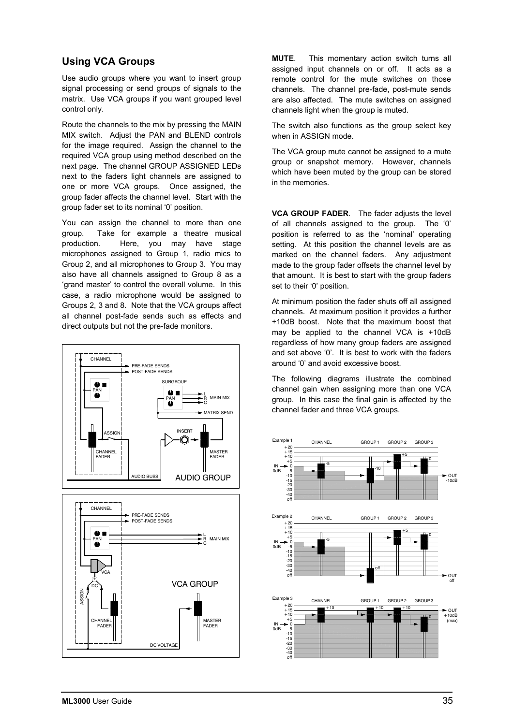## **Using VCA Groups**

Use audio groups where you want to insert group signal processing or send groups of signals to the matrix. Use VCA groups if you want grouped level control only.

Route the channels to the mix by pressing the MAIN MIX switch. Adjust the PAN and BLEND controls for the image required. Assign the channel to the required VCA group using method described on the next page. The channel GROUP ASSIGNED LEDs next to the faders light channels are assigned to one or more VCA groups. Once assigned, the group fader affects the channel level. Start with the group fader set to its nominal '0' position.

You can assign the channel to more than one group. Take for example a theatre musical production. Here, you may have stage microphones assigned to Group 1, radio mics to Group 2, and all microphones to Group 3. You may also have all channels assigned to Group 8 as a 'grand master' to control the overall volume. In this case, a radio microphone would be assigned to Groups 2, 3 and 8. Note that the VCA groups affect all channel post-fade sends such as effects and direct outputs but not the pre-fade monitors.



**MUTE**. This momentary action switch turns all assigned input channels on or off. It acts as a remote control for the mute switches on those channels. The channel pre-fade, post-mute sends are also affected. The mute switches on assigned channels light when the group is muted.

The switch also functions as the group select key when in ASSIGN mode.

The VCA group mute cannot be assigned to a mute group or snapshot memory. However, channels which have been muted by the group can be stored in the memories.

**VCA GROUP FADER**. The fader adjusts the level of all channels assigned to the group. The '0' position is referred to as the 'nominal' operating setting. At this position the channel levels are as marked on the channel faders. Any adjustment made to the group fader offsets the channel level by that amount. It is best to start with the group faders set to their '0' position.

At minimum position the fader shuts off all assigned channels. At maximum position it provides a further +10dB boost. Note that the maximum boost that may be applied to the channel VCA is +10dB regardless of how many group faders are assigned and set above '0'. It is best to work with the faders around '0' and avoid excessive boost.

The following diagrams illustrate the combined channel gain when assigning more than one VCA group. In this case the final gain is affected by the channel fader and three VCA groups.